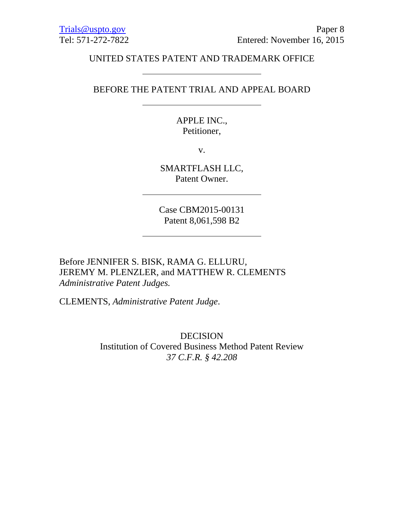### UNITED STATES PATENT AND TRADEMARK OFFICE

### BEFORE THE PATENT TRIAL AND APPEAL BOARD

## APPLE INC., Petitioner,

v.

SMARTFLASH LLC, Patent Owner.

Case CBM2015-00131 Patent 8,061,598 B2

Before JENNIFER S. BISK, RAMA G. ELLURU, JEREMY M. PLENZLER, and MATTHEW R. CLEMENTS *Administrative Patent Judges.* 

CLEMENTS, *Administrative Patent Judge*.

DECISION Institution of Covered Business Method Patent Review *37 C.F.R. § 42.208*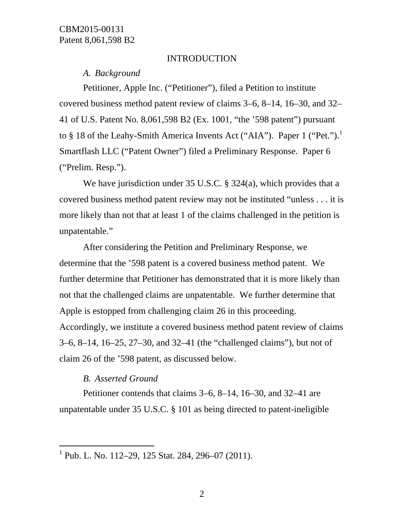#### INTRODUCTION

*A. Background* 

Petitioner, Apple Inc. ("Petitioner"), filed a Petition to institute covered business method patent review of claims 3–6, 8–14, 16–30, and 32– 41 of U.S. Patent No. 8,061,598 B2 (Ex. 1001, "the '598 patent") pursuant to § 18 of the Leahy-Smith America Invents Act ("AIA"). Paper 1 ("Pet.").<sup>1</sup> Smartflash LLC ("Patent Owner") filed a Preliminary Response. Paper 6 ("Prelim. Resp.").

We have jurisdiction under 35 U.S.C. § 324(a), which provides that a covered business method patent review may not be instituted "unless . . . it is more likely than not that at least 1 of the claims challenged in the petition is unpatentable."

After considering the Petition and Preliminary Response, we determine that the '598 patent is a covered business method patent. We further determine that Petitioner has demonstrated that it is more likely than not that the challenged claims are unpatentable. We further determine that Apple is estopped from challenging claim 26 in this proceeding. Accordingly, we institute a covered business method patent review of claims 3–6, 8–14, 16–25, 27–30, and 32–41 (the "challenged claims"), but not of claim 26 of the '598 patent, as discussed below.

### *B. Asserted Ground*

-

Petitioner contends that claims 3–6, 8–14, 16–30, and 32–41 are unpatentable under 35 U.S.C. § 101 as being directed to patent-ineligible

<sup>1</sup> Pub. L. No. 112–29, 125 Stat. 284, 296–07 (2011).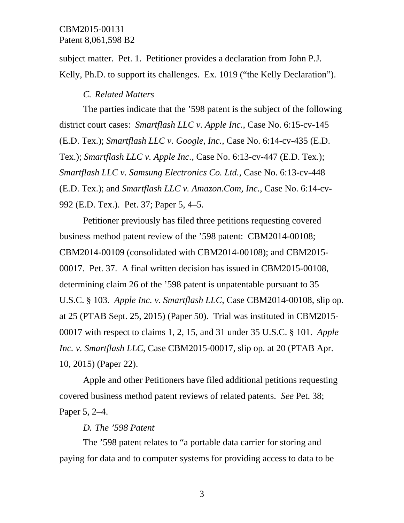subject matter. Pet. 1. Petitioner provides a declaration from John P.J. Kelly, Ph.D. to support its challenges. Ex. 1019 ("the Kelly Declaration").

### *C. Related Matters*

The parties indicate that the '598 patent is the subject of the following district court cases: *Smartflash LLC v. Apple Inc.*, Case No. 6:15-cv-145 (E.D. Tex.); *Smartflash LLC v. Google, Inc.*, Case No. 6:14-cv-435 (E.D. Tex.); *Smartflash LLC v. Apple Inc.*, Case No. 6:13-cv-447 (E.D. Tex.); *Smartflash LLC v. Samsung Electronics Co. Ltd.*, Case No. 6:13-cv-448 (E.D. Tex.); and *Smartflash LLC v. Amazon.Com, Inc.*, Case No. 6:14-cv-992 (E.D. Tex.). Pet. 37; Paper 5, 4–5.

Petitioner previously has filed three petitions requesting covered business method patent review of the '598 patent: CBM2014-00108; CBM2014-00109 (consolidated with CBM2014-00108); and CBM2015- 00017. Pet. 37. A final written decision has issued in CBM2015-00108, determining claim 26 of the '598 patent is unpatentable pursuant to 35 U.S.C. § 103. *Apple Inc. v. Smartflash LLC*, Case CBM2014-00108, slip op. at 25 (PTAB Sept. 25, 2015) (Paper 50). Trial was instituted in CBM2015- 00017 with respect to claims 1, 2, 15, and 31 under 35 U.S.C. § 101. *Apple Inc. v. Smartflash LLC*, Case CBM2015-00017, slip op. at 20 (PTAB Apr. 10, 2015) (Paper 22).

Apple and other Petitioners have filed additional petitions requesting covered business method patent reviews of related patents. *See* Pet. 38; Paper 5, 2–4.

#### *D. The '598 Patent*

The '598 patent relates to "a portable data carrier for storing and paying for data and to computer systems for providing access to data to be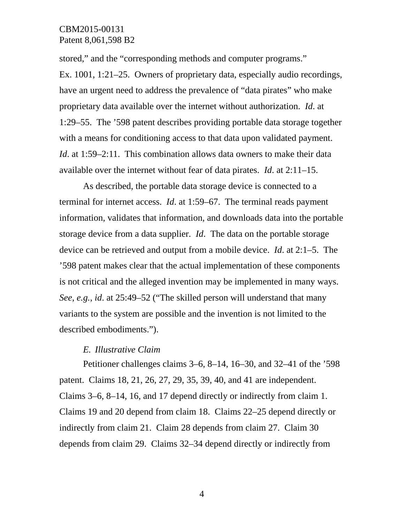stored," and the "corresponding methods and computer programs."

Ex. 1001, 1:21–25. Owners of proprietary data, especially audio recordings, have an urgent need to address the prevalence of "data pirates" who make proprietary data available over the internet without authorization. *Id*. at 1:29–55. The '598 patent describes providing portable data storage together with a means for conditioning access to that data upon validated payment. *Id.* at 1:59–2:11. This combination allows data owners to make their data available over the internet without fear of data pirates. *Id*. at 2:11–15.

As described, the portable data storage device is connected to a terminal for internet access. *Id*. at 1:59–67. The terminal reads payment information, validates that information, and downloads data into the portable storage device from a data supplier. *Id*. The data on the portable storage device can be retrieved and output from a mobile device. *Id*. at 2:1–5. The '598 patent makes clear that the actual implementation of these components is not critical and the alleged invention may be implemented in many ways. *See*, *e.g.*, *id*. at 25:49–52 ("The skilled person will understand that many variants to the system are possible and the invention is not limited to the described embodiments.").

#### *E. Illustrative Claim*

Petitioner challenges claims 3–6, 8–14, 16–30, and 32–41 of the '598 patent. Claims 18, 21, 26, 27, 29, 35, 39, 40, and 41 are independent. Claims 3–6, 8–14, 16, and 17 depend directly or indirectly from claim 1. Claims 19 and 20 depend from claim 18. Claims 22–25 depend directly or indirectly from claim 21. Claim 28 depends from claim 27. Claim 30 depends from claim 29. Claims 32–34 depend directly or indirectly from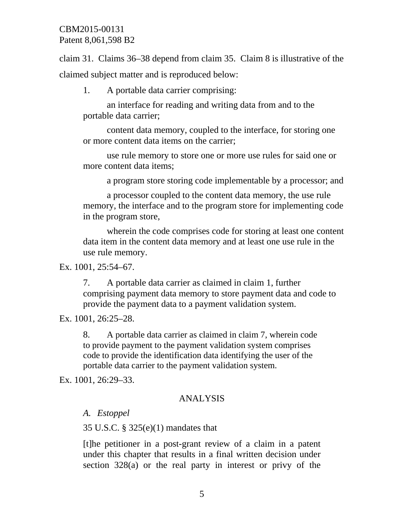claim 31. Claims 36–38 depend from claim 35. Claim 8 is illustrative of the claimed subject matter and is reproduced below:

1. A portable data carrier comprising:

an interface for reading and writing data from and to the portable data carrier;

content data memory, coupled to the interface, for storing one or more content data items on the carrier;

use rule memory to store one or more use rules for said one or more content data items;

a program store storing code implementable by a processor; and

a processor coupled to the content data memory, the use rule memory, the interface and to the program store for implementing code in the program store,

wherein the code comprises code for storing at least one content data item in the content data memory and at least one use rule in the use rule memory.

Ex. 1001, 25:54–67.

7. A portable data carrier as claimed in claim 1, further comprising payment data memory to store payment data and code to provide the payment data to a payment validation system.

Ex. 1001, 26:25–28.

8. A portable data carrier as claimed in claim 7, wherein code to provide payment to the payment validation system comprises code to provide the identification data identifying the user of the portable data carrier to the payment validation system.

Ex. 1001, 26:29–33.

# ANALYSIS

# *A. Estoppel*

35 U.S.C. § 325(e)(1) mandates that

[t]he petitioner in a post-grant review of a claim in a patent under this chapter that results in a final written decision under section 328(a) or the real party in interest or privy of the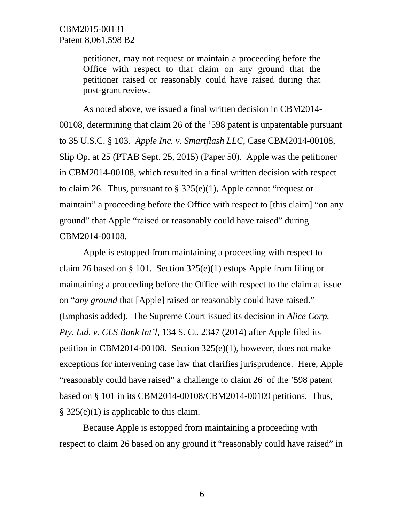petitioner, may not request or maintain a proceeding before the Office with respect to that claim on any ground that the petitioner raised or reasonably could have raised during that post-grant review.

As noted above, we issued a final written decision in CBM2014- 00108, determining that claim 26 of the '598 patent is unpatentable pursuant to 35 U.S.C. § 103. *Apple Inc. v. Smartflash LLC*, Case CBM2014-00108, Slip Op. at 25 (PTAB Sept. 25, 2015) (Paper 50). Apple was the petitioner in CBM2014-00108, which resulted in a final written decision with respect to claim 26. Thus, pursuant to  $\S$  325(e)(1), Apple cannot "request or maintain" a proceeding before the Office with respect to [this claim] "on any ground" that Apple "raised or reasonably could have raised" during CBM2014-00108.

Apple is estopped from maintaining a proceeding with respect to claim 26 based on § 101. Section 325(e)(1) estops Apple from filing or maintaining a proceeding before the Office with respect to the claim at issue on "*any ground* that [Apple] raised or reasonably could have raised." (Emphasis added). The Supreme Court issued its decision in *Alice Corp. Pty. Ltd. v. CLS Bank Int'l*, 134 S. Ct. 2347 (2014) after Apple filed its petition in CBM2014-00108. Section 325(e)(1), however, does not make exceptions for intervening case law that clarifies jurisprudence. Here, Apple "reasonably could have raised" a challenge to claim 26 of the '598 patent based on § 101 in its CBM2014-00108/CBM2014-00109 petitions. Thus, § 325(e)(1) is applicable to this claim.

Because Apple is estopped from maintaining a proceeding with respect to claim 26 based on any ground it "reasonably could have raised" in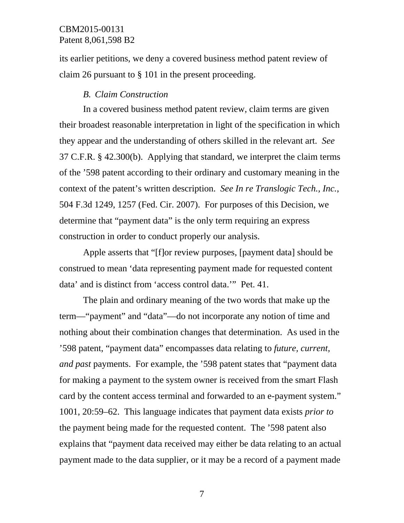its earlier petitions, we deny a covered business method patent review of claim 26 pursuant to § 101 in the present proceeding.

#### *B. Claim Construction*

In a covered business method patent review, claim terms are given their broadest reasonable interpretation in light of the specification in which they appear and the understanding of others skilled in the relevant art. *See*  37 C.F.R. § 42.300(b). Applying that standard, we interpret the claim terms of the '598 patent according to their ordinary and customary meaning in the context of the patent's written description. *See In re Translogic Tech., Inc.*, 504 F.3d 1249, 1257 (Fed. Cir. 2007). For purposes of this Decision, we determine that "payment data" is the only term requiring an express construction in order to conduct properly our analysis.

Apple asserts that "[f]or review purposes, [payment data] should be construed to mean 'data representing payment made for requested content data' and is distinct from 'access control data.'" Pet. 41.

The plain and ordinary meaning of the two words that make up the term—"payment" and "data"—do not incorporate any notion of time and nothing about their combination changes that determination. As used in the '598 patent, "payment data" encompasses data relating to *future, current, and past* payments. For example, the '598 patent states that "payment data for making a payment to the system owner is received from the smart Flash card by the content access terminal and forwarded to an e-payment system." 1001, 20:59–62. This language indicates that payment data exists *prior to* the payment being made for the requested content. The '598 patent also explains that "payment data received may either be data relating to an actual payment made to the data supplier, or it may be a record of a payment made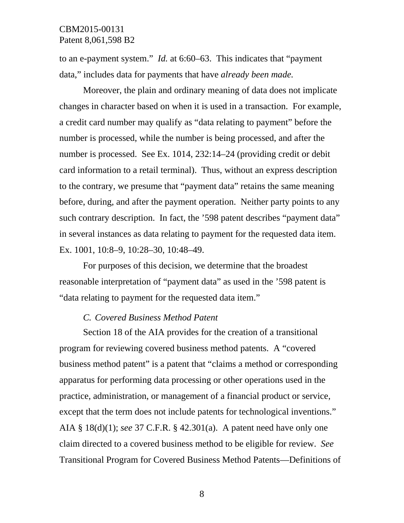to an e-payment system." *Id.* at 6:60–63. This indicates that "payment data," includes data for payments that have *already been made.*

Moreover, the plain and ordinary meaning of data does not implicate changes in character based on when it is used in a transaction. For example, a credit card number may qualify as "data relating to payment" before the number is processed, while the number is being processed, and after the number is processed. See Ex. 1014, 232:14–24 (providing credit or debit card information to a retail terminal). Thus, without an express description to the contrary, we presume that "payment data" retains the same meaning before, during, and after the payment operation. Neither party points to any such contrary description. In fact, the '598 patent describes "payment data" in several instances as data relating to payment for the requested data item. Ex. 1001, 10:8–9, 10:28–30, 10:48–49.

For purposes of this decision, we determine that the broadest reasonable interpretation of "payment data" as used in the '598 patent is "data relating to payment for the requested data item."

## *C. Covered Business Method Patent*

Section 18 of the AIA provides for the creation of a transitional program for reviewing covered business method patents. A "covered business method patent" is a patent that "claims a method or corresponding apparatus for performing data processing or other operations used in the practice, administration, or management of a financial product or service, except that the term does not include patents for technological inventions." AIA § 18(d)(1); *see* 37 C.F.R. § 42.301(a). A patent need have only one claim directed to a covered business method to be eligible for review. *See* Transitional Program for Covered Business Method Patents—Definitions of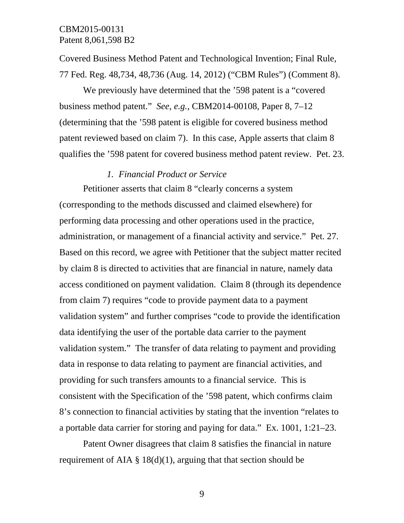Covered Business Method Patent and Technological Invention; Final Rule, 77 Fed. Reg. 48,734, 48,736 (Aug. 14, 2012) ("CBM Rules") (Comment 8).

We previously have determined that the '598 patent is a "covered business method patent." *See*, *e.g.*, CBM2014-00108, Paper 8, 7–12 (determining that the '598 patent is eligible for covered business method patent reviewed based on claim 7). In this case, Apple asserts that claim 8 qualifies the '598 patent for covered business method patent review. Pet. 23.

#### *1. Financial Product or Service*

Petitioner asserts that claim 8 "clearly concerns a system (corresponding to the methods discussed and claimed elsewhere) for performing data processing and other operations used in the practice, administration, or management of a financial activity and service." Pet. 27. Based on this record, we agree with Petitioner that the subject matter recited by claim 8 is directed to activities that are financial in nature, namely data access conditioned on payment validation. Claim 8 (through its dependence from claim 7) requires "code to provide payment data to a payment validation system" and further comprises "code to provide the identification data identifying the user of the portable data carrier to the payment validation system." The transfer of data relating to payment and providing data in response to data relating to payment are financial activities, and providing for such transfers amounts to a financial service. This is consistent with the Specification of the '598 patent, which confirms claim 8's connection to financial activities by stating that the invention "relates to a portable data carrier for storing and paying for data." Ex. 1001, 1:21–23.

Patent Owner disagrees that claim 8 satisfies the financial in nature requirement of AIA  $\S$  18(d)(1), arguing that that section should be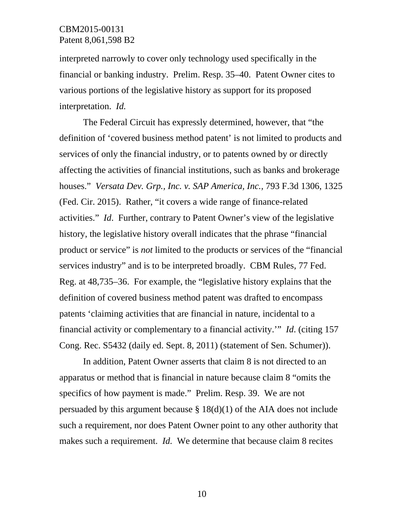interpreted narrowly to cover only technology used specifically in the financial or banking industry. Prelim. Resp. 35–40. Patent Owner cites to various portions of the legislative history as support for its proposed interpretation. *Id.* 

The Federal Circuit has expressly determined, however, that "the definition of 'covered business method patent' is not limited to products and services of only the financial industry, or to patents owned by or directly affecting the activities of financial institutions, such as banks and brokerage houses." *Versata Dev. Grp., Inc. v. SAP America, Inc.,* 793 F.3d 1306, 1325 (Fed. Cir. 2015). Rather, "it covers a wide range of finance-related activities." *Id*. Further, contrary to Patent Owner's view of the legislative history, the legislative history overall indicates that the phrase "financial product or service" is *not* limited to the products or services of the "financial services industry" and is to be interpreted broadly. CBM Rules, 77 Fed. Reg. at 48,735–36. For example, the "legislative history explains that the definition of covered business method patent was drafted to encompass patents 'claiming activities that are financial in nature, incidental to a financial activity or complementary to a financial activity.'" *Id*. (citing 157 Cong. Rec. S5432 (daily ed. Sept. 8, 2011) (statement of Sen. Schumer)).

In addition, Patent Owner asserts that claim 8 is not directed to an apparatus or method that is financial in nature because claim 8 "omits the specifics of how payment is made." Prelim. Resp. 39. We are not persuaded by this argument because  $\S 18(d)(1)$  of the AIA does not include such a requirement, nor does Patent Owner point to any other authority that makes such a requirement. *Id.* We determine that because claim 8 recites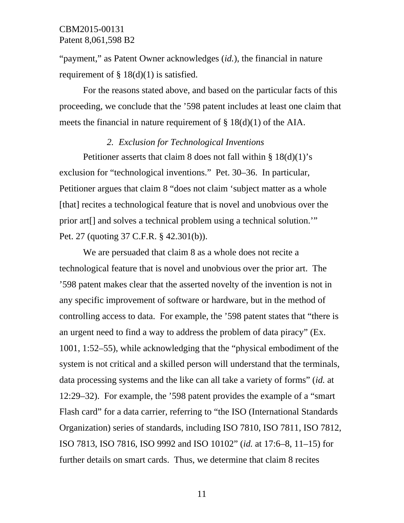"payment," as Patent Owner acknowledges (*id.*), the financial in nature requirement of  $\S$  18(d)(1) is satisfied.

For the reasons stated above, and based on the particular facts of this proceeding, we conclude that the '598 patent includes at least one claim that meets the financial in nature requirement of  $\S 18(d)(1)$  of the AIA.

#### *2. Exclusion for Technological Inventions*

Petitioner asserts that claim 8 does not fall within  $\S 18(d)(1)$ 's exclusion for "technological inventions." Pet. 30–36. In particular, Petitioner argues that claim 8 "does not claim 'subject matter as a whole [that] recites a technological feature that is novel and unobvious over the prior art[] and solves a technical problem using a technical solution.'" Pet. 27 (quoting 37 C.F.R. § 42.301(b)).

We are persuaded that claim 8 as a whole does not recite a technological feature that is novel and unobvious over the prior art. The '598 patent makes clear that the asserted novelty of the invention is not in any specific improvement of software or hardware, but in the method of controlling access to data. For example, the '598 patent states that "there is an urgent need to find a way to address the problem of data piracy" (Ex. 1001, 1:52–55), while acknowledging that the "physical embodiment of the system is not critical and a skilled person will understand that the terminals, data processing systems and the like can all take a variety of forms" (*id.* at 12:29–32). For example, the '598 patent provides the example of a "smart Flash card" for a data carrier, referring to "the ISO (International Standards Organization) series of standards, including ISO 7810, ISO 7811, ISO 7812, ISO 7813, ISO 7816, ISO 9992 and ISO 10102" (*id.* at 17:6–8, 11–15) for further details on smart cards. Thus, we determine that claim 8 recites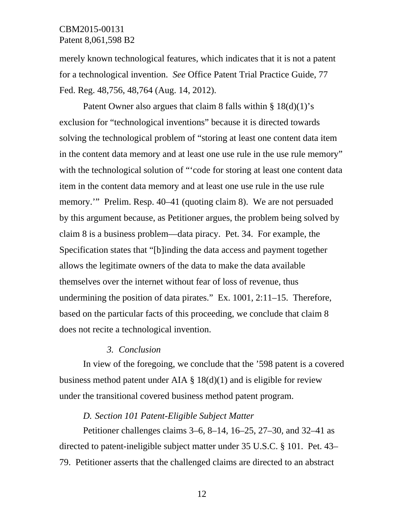merely known technological features, which indicates that it is not a patent for a technological invention. *See* Office Patent Trial Practice Guide, 77 Fed. Reg. 48,756, 48,764 (Aug. 14, 2012).

Patent Owner also argues that claim 8 falls within § 18(d)(1)'s exclusion for "technological inventions" because it is directed towards solving the technological problem of "storing at least one content data item in the content data memory and at least one use rule in the use rule memory" with the technological solution of "'code for storing at least one content data item in the content data memory and at least one use rule in the use rule memory.'" Prelim. Resp. 40–41 (quoting claim 8). We are not persuaded by this argument because, as Petitioner argues, the problem being solved by claim 8 is a business problem—data piracy. Pet. 34. For example, the Specification states that "[b]inding the data access and payment together allows the legitimate owners of the data to make the data available themselves over the internet without fear of loss of revenue, thus undermining the position of data pirates." Ex. 1001, 2:11–15. Therefore, based on the particular facts of this proceeding, we conclude that claim 8 does not recite a technological invention.

### *3. Conclusion*

In view of the foregoing, we conclude that the '598 patent is a covered business method patent under AIA  $\S$  18(d)(1) and is eligible for review under the transitional covered business method patent program.

#### *D. Section 101 Patent-Eligible Subject Matter*

Petitioner challenges claims 3–6, 8–14, 16–25, 27–30, and 32–41 as directed to patent-ineligible subject matter under 35 U.S.C. § 101. Pet. 43– 79. Petitioner asserts that the challenged claims are directed to an abstract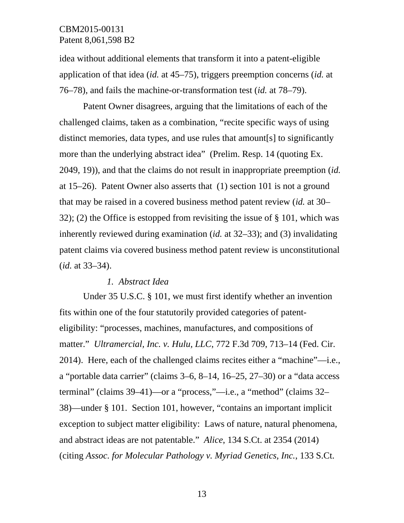idea without additional elements that transform it into a patent-eligible application of that idea (*id.* at 45–75), triggers preemption concerns (*id.* at 76–78), and fails the machine-or-transformation test (*id.* at 78–79).

Patent Owner disagrees, arguing that the limitations of each of the challenged claims, taken as a combination, "recite specific ways of using distinct memories, data types, and use rules that amount[s] to significantly more than the underlying abstract idea" (Prelim. Resp. 14 (quoting Ex. 2049, 19)), and that the claims do not result in inappropriate preemption (*id.* at 15–26). Patent Owner also asserts that (1) section 101 is not a ground that may be raised in a covered business method patent review (*id.* at 30– 32); (2) the Office is estopped from revisiting the issue of § 101, which was inherently reviewed during examination (*id.* at 32–33); and (3) invalidating patent claims via covered business method patent review is unconstitutional (*id.* at 33–34).

#### *1. Abstract Idea*

Under 35 U.S.C. § 101, we must first identify whether an invention fits within one of the four statutorily provided categories of patenteligibility: "processes, machines, manufactures, and compositions of matter." *Ultramercial, Inc. v. Hulu, LLC*, 772 F.3d 709, 713–14 (Fed. Cir. 2014). Here, each of the challenged claims recites either a "machine"—i.e., a "portable data carrier" (claims 3–6, 8–14, 16–25, 27–30) or a "data access terminal" (claims 39–41)—or a "process,"—i.e., a "method" (claims 32– 38)—under § 101. Section 101, however, "contains an important implicit exception to subject matter eligibility: Laws of nature, natural phenomena, and abstract ideas are not patentable." *Alice*, 134 S.Ct. at 2354 (2014) (citing *Assoc. for Molecular Pathology v. Myriad Genetics, Inc.*, 133 S.Ct.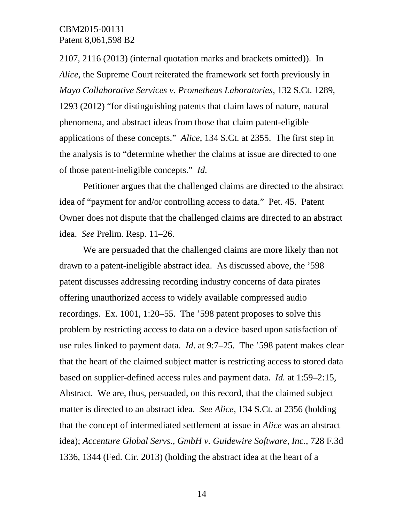2107, 2116 (2013) (internal quotation marks and brackets omitted)). In *Alice*, the Supreme Court reiterated the framework set forth previously in *Mayo Collaborative Services v. Prometheus Laboratories*, 132 S.Ct. 1289, 1293 (2012) "for distinguishing patents that claim laws of nature, natural phenomena, and abstract ideas from those that claim patent-eligible applications of these concepts." *Alice*, 134 S.Ct. at 2355. The first step in the analysis is to "determine whether the claims at issue are directed to one of those patent-ineligible concepts." *Id.*

Petitioner argues that the challenged claims are directed to the abstract idea of "payment for and/or controlling access to data." Pet. 45. Patent Owner does not dispute that the challenged claims are directed to an abstract idea. *See* Prelim. Resp. 11–26.

We are persuaded that the challenged claims are more likely than not drawn to a patent-ineligible abstract idea. As discussed above, the '598 patent discusses addressing recording industry concerns of data pirates offering unauthorized access to widely available compressed audio recordings. Ex. 1001, 1:20–55. The '598 patent proposes to solve this problem by restricting access to data on a device based upon satisfaction of use rules linked to payment data. *Id*. at 9:7–25. The '598 patent makes clear that the heart of the claimed subject matter is restricting access to stored data based on supplier-defined access rules and payment data. *Id.* at 1:59–2:15*,* Abstract. We are, thus, persuaded, on this record, that the claimed subject matter is directed to an abstract idea. *See Alice*, 134 S.Ct. at 2356 (holding that the concept of intermediated settlement at issue in *Alice* was an abstract idea); *Accenture Global Servs., GmbH v. Guidewire Software, Inc.*, 728 F.3d 1336, 1344 (Fed. Cir. 2013) (holding the abstract idea at the heart of a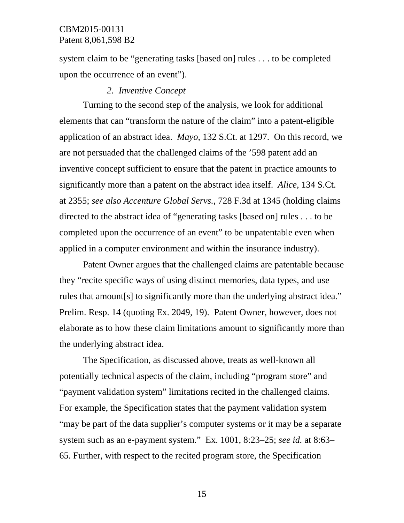system claim to be "generating tasks [based on] rules . . . to be completed upon the occurrence of an event").

#### *2. Inventive Concept*

Turning to the second step of the analysis, we look for additional elements that can "transform the nature of the claim" into a patent-eligible application of an abstract idea. *Mayo*, 132 S.Ct. at 1297. On this record, we are not persuaded that the challenged claims of the '598 patent add an inventive concept sufficient to ensure that the patent in practice amounts to significantly more than a patent on the abstract idea itself. *Alice*, 134 S.Ct. at 2355; *see also Accenture Global Servs.*, 728 F.3d at 1345 (holding claims directed to the abstract idea of "generating tasks [based on] rules . . . to be completed upon the occurrence of an event" to be unpatentable even when applied in a computer environment and within the insurance industry).

Patent Owner argues that the challenged claims are patentable because they "recite specific ways of using distinct memories, data types, and use rules that amount[s] to significantly more than the underlying abstract idea." Prelim. Resp. 14 (quoting Ex. 2049, 19). Patent Owner, however, does not elaborate as to how these claim limitations amount to significantly more than the underlying abstract idea.

The Specification, as discussed above, treats as well-known all potentially technical aspects of the claim, including "program store" and "payment validation system" limitations recited in the challenged claims. For example, the Specification states that the payment validation system "may be part of the data supplier's computer systems or it may be a separate system such as an e-payment system." Ex. 1001, 8:23–25; *see id.* at 8:63– 65. Further, with respect to the recited program store, the Specification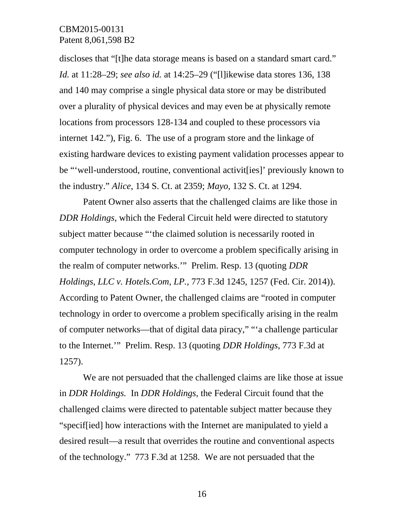discloses that "[t]he data storage means is based on a standard smart card." *Id.* at 11:28–29; *see also id.* at 14:25–29 ("[l]ikewise data stores 136, 138 and 140 may comprise a single physical data store or may be distributed over a plurality of physical devices and may even be at physically remote locations from processors 128-134 and coupled to these processors via internet 142."), Fig. 6. The use of a program store and the linkage of existing hardware devices to existing payment validation processes appear to be "'well-understood, routine, conventional activit[ies]' previously known to the industry." *Alice*, 134 S. Ct. at 2359; *Mayo*, 132 S. Ct. at 1294.

Patent Owner also asserts that the challenged claims are like those in *DDR Holdings,* which the Federal Circuit held were directed to statutory subject matter because "'the claimed solution is necessarily rooted in computer technology in order to overcome a problem specifically arising in the realm of computer networks.'" Prelim. Resp. 13 (quoting *DDR Holdings, LLC v. Hotels.Com, LP.,* 773 F.3d 1245, 1257 (Fed. Cir. 2014)). According to Patent Owner, the challenged claims are "rooted in computer technology in order to overcome a problem specifically arising in the realm of computer networks—that of digital data piracy," "'a challenge particular to the Internet.'" Prelim. Resp. 13 (quoting *DDR Holdings*, 773 F.3d at 1257).

We are not persuaded that the challenged claims are like those at issue in *DDR Holdings.* In *DDR Holdings,* the Federal Circuit found that the challenged claims were directed to patentable subject matter because they "specif[ied] how interactions with the Internet are manipulated to yield a desired result—a result that overrides the routine and conventional aspects of the technology." 773 F.3d at 1258. We are not persuaded that the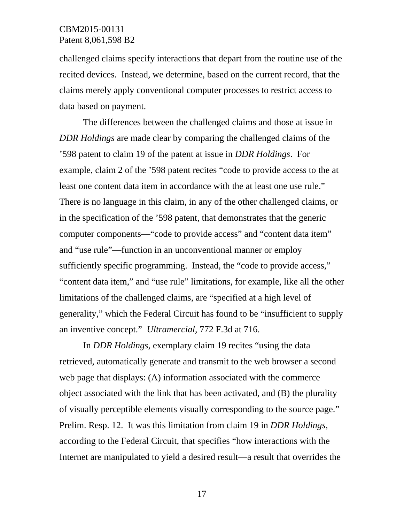challenged claims specify interactions that depart from the routine use of the recited devices. Instead, we determine, based on the current record, that the claims merely apply conventional computer processes to restrict access to data based on payment.

The differences between the challenged claims and those at issue in *DDR Holdings* are made clear by comparing the challenged claims of the '598 patent to claim 19 of the patent at issue in *DDR Holdings*. For example, claim 2 of the '598 patent recites "code to provide access to the at least one content data item in accordance with the at least one use rule." There is no language in this claim, in any of the other challenged claims, or in the specification of the '598 patent, that demonstrates that the generic computer components—"code to provide access" and "content data item" and "use rule"—function in an unconventional manner or employ sufficiently specific programming. Instead, the "code to provide access," "content data item," and "use rule" limitations, for example, like all the other limitations of the challenged claims, are "specified at a high level of generality," which the Federal Circuit has found to be "insufficient to supply an inventive concept." *Ultramercial*, 772 F.3d at 716.

In *DDR Holdings*, exemplary claim 19 recites "using the data retrieved, automatically generate and transmit to the web browser a second web page that displays: (A) information associated with the commerce object associated with the link that has been activated, and (B) the plurality of visually perceptible elements visually corresponding to the source page." Prelim. Resp. 12. It was this limitation from claim 19 in *DDR Holdings*, according to the Federal Circuit, that specifies "how interactions with the Internet are manipulated to yield a desired result—a result that overrides the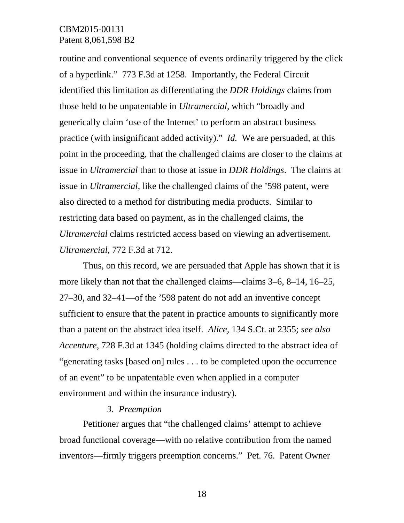routine and conventional sequence of events ordinarily triggered by the click of a hyperlink." 773 F.3d at 1258. Importantly, the Federal Circuit identified this limitation as differentiating the *DDR Holdings* claims from those held to be unpatentable in *Ultramercial*, which "broadly and generically claim 'use of the Internet' to perform an abstract business practice (with insignificant added activity)." *Id.* We are persuaded, at this point in the proceeding, that the challenged claims are closer to the claims at issue in *Ultramercial* than to those at issue in *DDR Holdings*. The claims at issue in *Ultramercial*, like the challenged claims of the '598 patent, were also directed to a method for distributing media products. Similar to restricting data based on payment, as in the challenged claims, the *Ultramercial* claims restricted access based on viewing an advertisement. *Ultramercial*, 772 F.3d at 712.

Thus, on this record, we are persuaded that Apple has shown that it is more likely than not that the challenged claims—claims 3–6, 8–14, 16–25, 27–30, and 32–41—of the '598 patent do not add an inventive concept sufficient to ensure that the patent in practice amounts to significantly more than a patent on the abstract idea itself. *Alice*, 134 S.Ct. at 2355; *see also Accenture*, 728 F.3d at 1345 (holding claims directed to the abstract idea of "generating tasks [based on] rules . . . to be completed upon the occurrence of an event" to be unpatentable even when applied in a computer environment and within the insurance industry).

### *3. Preemption*

Petitioner argues that "the challenged claims' attempt to achieve broad functional coverage—with no relative contribution from the named inventors—firmly triggers preemption concerns." Pet. 76. Patent Owner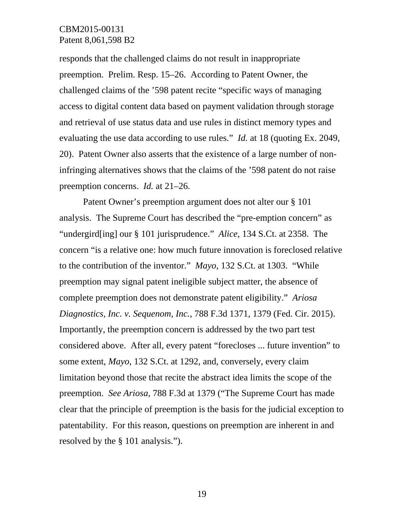responds that the challenged claims do not result in inappropriate preemption. Prelim. Resp. 15–26. According to Patent Owner, the challenged claims of the '598 patent recite "specific ways of managing access to digital content data based on payment validation through storage and retrieval of use status data and use rules in distinct memory types and evaluating the use data according to use rules." *Id.* at 18 (quoting Ex. 2049, 20). Patent Owner also asserts that the existence of a large number of noninfringing alternatives shows that the claims of the '598 patent do not raise preemption concerns. *Id.* at 21–26.

Patent Owner's preemption argument does not alter our § 101 analysis. The Supreme Court has described the "pre-emption concern" as "undergird[ing] our § 101 jurisprudence." *Alice*, 134 S.Ct. at 2358. The concern "is a relative one: how much future innovation is foreclosed relative to the contribution of the inventor." *Mayo*, 132 S.Ct. at 1303. "While preemption may signal patent ineligible subject matter, the absence of complete preemption does not demonstrate patent eligibility." *Ariosa Diagnostics, Inc. v. Sequenom, Inc.*, 788 F.3d 1371, 1379 (Fed. Cir. 2015). Importantly, the preemption concern is addressed by the two part test considered above. After all, every patent "forecloses ... future invention" to some extent, *Mayo*, 132 S.Ct. at 1292, and, conversely, every claim limitation beyond those that recite the abstract idea limits the scope of the preemption. *See Ariosa*, 788 F.3d at 1379 ("The Supreme Court has made clear that the principle of preemption is the basis for the judicial exception to patentability. For this reason, questions on preemption are inherent in and resolved by the § 101 analysis.").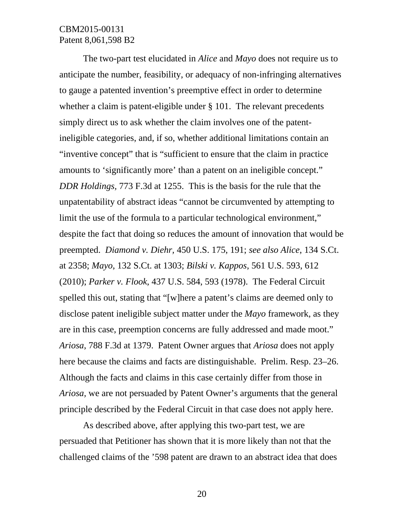The two-part test elucidated in *Alice* and *Mayo* does not require us to anticipate the number, feasibility, or adequacy of non-infringing alternatives to gauge a patented invention's preemptive effect in order to determine whether a claim is patent-eligible under § 101. The relevant precedents simply direct us to ask whether the claim involves one of the patentineligible categories, and, if so, whether additional limitations contain an "inventive concept" that is "sufficient to ensure that the claim in practice amounts to 'significantly more' than a patent on an ineligible concept." *DDR Holdings,* 773 F.3d at 1255. This is the basis for the rule that the unpatentability of abstract ideas "cannot be circumvented by attempting to limit the use of the formula to a particular technological environment," despite the fact that doing so reduces the amount of innovation that would be preempted. *Diamond v. Diehr,* 450 U.S. 175, 191; *see also Alice*, 134 S.Ct. at 2358; *Mayo*, 132 S.Ct. at 1303; *Bilski v. Kappos*, 561 U.S. 593, 612 (2010); *Parker v. Flook*, 437 U.S. 584, 593 (1978). The Federal Circuit spelled this out, stating that "[w]here a patent's claims are deemed only to disclose patent ineligible subject matter under the *Mayo* framework, as they are in this case, preemption concerns are fully addressed and made moot." *Ariosa*, 788 F.3d at 1379. Patent Owner argues that *Ariosa* does not apply here because the claims and facts are distinguishable. Prelim. Resp. 23–26. Although the facts and claims in this case certainly differ from those in *Ariosa,* we are not persuaded by Patent Owner's arguments that the general principle described by the Federal Circuit in that case does not apply here.

As described above, after applying this two-part test, we are persuaded that Petitioner has shown that it is more likely than not that the challenged claims of the '598 patent are drawn to an abstract idea that does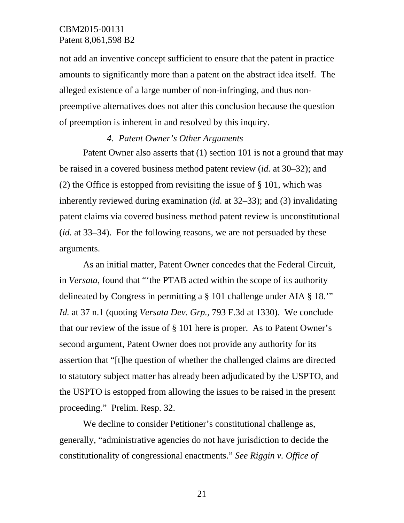not add an inventive concept sufficient to ensure that the patent in practice amounts to significantly more than a patent on the abstract idea itself. The alleged existence of a large number of non-infringing, and thus nonpreemptive alternatives does not alter this conclusion because the question of preemption is inherent in and resolved by this inquiry.

### *4. Patent Owner's Other Arguments*

Patent Owner also asserts that (1) section 101 is not a ground that may be raised in a covered business method patent review (*id.* at 30–32); and (2) the Office is estopped from revisiting the issue of § 101, which was inherently reviewed during examination (*id.* at 32–33); and (3) invalidating patent claims via covered business method patent review is unconstitutional (*id.* at 33–34). For the following reasons, we are not persuaded by these arguments.

As an initial matter, Patent Owner concedes that the Federal Circuit, in *Versata*, found that "'the PTAB acted within the scope of its authority delineated by Congress in permitting a § 101 challenge under AIA § 18.'" *Id.* at 37 n.1 (quoting *Versata Dev. Grp.,* 793 F.3d at 1330). We conclude that our review of the issue of § 101 here is proper. As to Patent Owner's second argument, Patent Owner does not provide any authority for its assertion that "[t]he question of whether the challenged claims are directed to statutory subject matter has already been adjudicated by the USPTO, and the USPTO is estopped from allowing the issues to be raised in the present proceeding." Prelim. Resp. 32.

We decline to consider Petitioner's constitutional challenge as, generally, "administrative agencies do not have jurisdiction to decide the constitutionality of congressional enactments." *See Riggin v. Office of*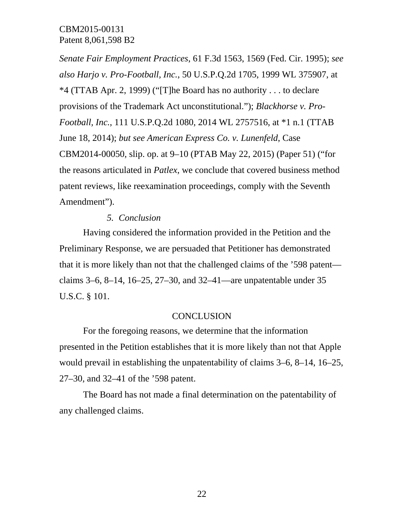*Senate Fair Employment Practices*, 61 F.3d 1563, 1569 (Fed. Cir. 1995); *see also Harjo v. Pro-Football, Inc.*, 50 U.S.P.Q.2d 1705, 1999 WL 375907, at \*4 (TTAB Apr. 2, 1999) ("[T]he Board has no authority . . . to declare provisions of the Trademark Act unconstitutional."); *Blackhorse v. Pro-Football, Inc.*, 111 U.S.P.Q.2d 1080, 2014 WL 2757516, at \*1 n.1 (TTAB June 18, 2014); *but see American Express Co. v. Lunenfeld*, Case CBM2014-00050, slip. op. at 9–10 (PTAB May 22, 2015) (Paper 51) ("for the reasons articulated in *Patlex*, we conclude that covered business method patent reviews, like reexamination proceedings, comply with the Seventh Amendment").

### *5. Conclusion*

Having considered the information provided in the Petition and the Preliminary Response, we are persuaded that Petitioner has demonstrated that it is more likely than not that the challenged claims of the '598 patent claims 3–6, 8–14, 16–25, 27–30, and 32–41—are unpatentable under 35 U.S.C. § 101.

### **CONCLUSION**

For the foregoing reasons, we determine that the information presented in the Petition establishes that it is more likely than not that Apple would prevail in establishing the unpatentability of claims 3–6, 8–14, 16–25, 27–30, and 32–41 of the '598 patent.

The Board has not made a final determination on the patentability of any challenged claims.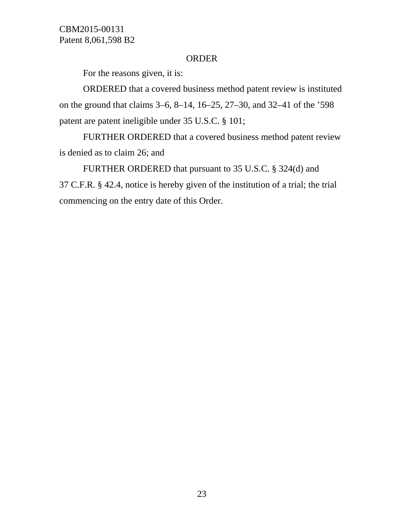#### ORDER

For the reasons given, it is:

ORDERED that a covered business method patent review is instituted on the ground that claims 3–6, 8–14, 16–25, 27–30, and 32–41 of the '598 patent are patent ineligible under 35 U.S.C. § 101;

FURTHER ORDERED that a covered business method patent review is denied as to claim 26; and

FURTHER ORDERED that pursuant to 35 U.S.C. § 324(d) and 37 C.F.R. § 42.4, notice is hereby given of the institution of a trial; the trial commencing on the entry date of this Order.